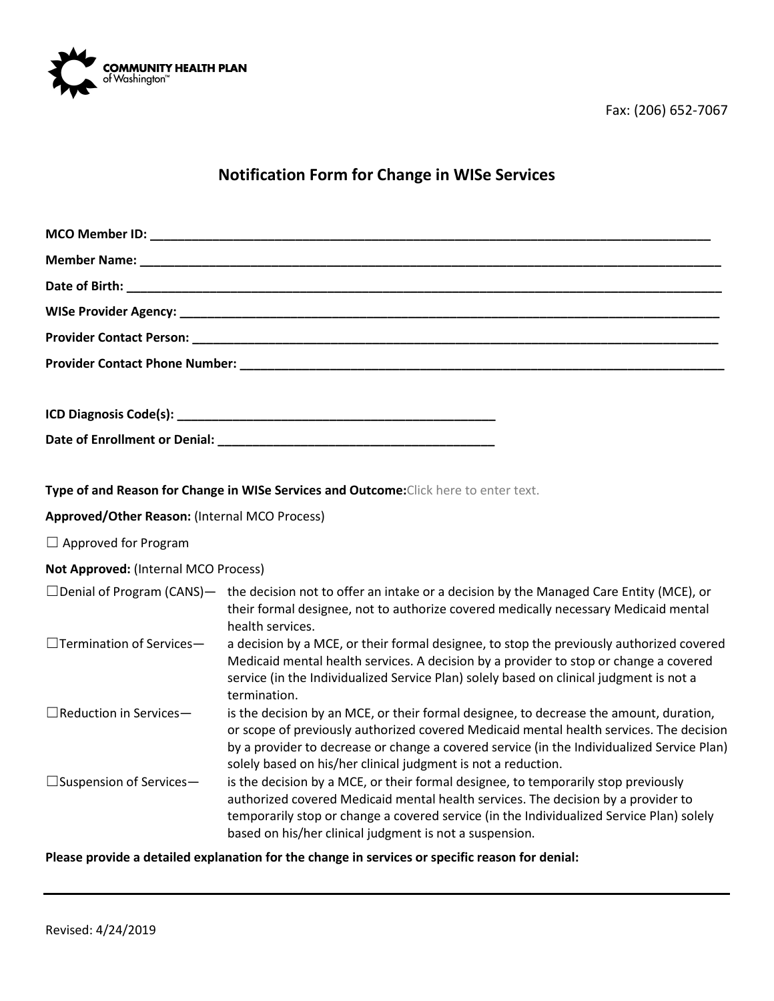

## **Notification Form for Change in WISe Services**

| WISe Provider Agency: New York State Agency of the Contract of the Contract of the Contract of the Contract of the Contract of the Contract of the Contract of the Contract of the Contract of the Contract of the Contract of |                                                                                                                                                                                                                                                                                                                                                  |
|--------------------------------------------------------------------------------------------------------------------------------------------------------------------------------------------------------------------------------|--------------------------------------------------------------------------------------------------------------------------------------------------------------------------------------------------------------------------------------------------------------------------------------------------------------------------------------------------|
|                                                                                                                                                                                                                                |                                                                                                                                                                                                                                                                                                                                                  |
|                                                                                                                                                                                                                                |                                                                                                                                                                                                                                                                                                                                                  |
|                                                                                                                                                                                                                                |                                                                                                                                                                                                                                                                                                                                                  |
|                                                                                                                                                                                                                                |                                                                                                                                                                                                                                                                                                                                                  |
|                                                                                                                                                                                                                                |                                                                                                                                                                                                                                                                                                                                                  |
|                                                                                                                                                                                                                                |                                                                                                                                                                                                                                                                                                                                                  |
| Type of and Reason for Change in WISe Services and Outcome: Click here to enter text.                                                                                                                                          |                                                                                                                                                                                                                                                                                                                                                  |
| Approved/Other Reason: (Internal MCO Process)                                                                                                                                                                                  |                                                                                                                                                                                                                                                                                                                                                  |
| $\Box$ Approved for Program                                                                                                                                                                                                    |                                                                                                                                                                                                                                                                                                                                                  |
| Not Approved: (Internal MCO Process)                                                                                                                                                                                           |                                                                                                                                                                                                                                                                                                                                                  |
|                                                                                                                                                                                                                                | $\Box$ Denial of Program (CANS)— the decision not to offer an intake or a decision by the Managed Care Entity (MCE), or<br>their formal designee, not to authorize covered medically necessary Medicaid mental<br>health services.                                                                                                               |
| $\Box$ Termination of Services-                                                                                                                                                                                                | a decision by a MCE, or their formal designee, to stop the previously authorized covered<br>Medicaid mental health services. A decision by a provider to stop or change a covered<br>service (in the Individualized Service Plan) solely based on clinical judgment is not a<br>termination.                                                     |
| $\Box$ Reduction in Services-                                                                                                                                                                                                  | is the decision by an MCE, or their formal designee, to decrease the amount, duration,<br>or scope of previously authorized covered Medicaid mental health services. The decision<br>by a provider to decrease or change a covered service (in the Individualized Service Plan)<br>solely based on his/her clinical judgment is not a reduction. |
| $\square$ Suspension of Services-                                                                                                                                                                                              | is the decision by a MCE, or their formal designee, to temporarily stop previously<br>authorized covered Medicaid mental health services. The decision by a provider to<br>temporarily stop or change a covered service (in the Individualized Service Plan) solely<br>based on his/her clinical judgment is not a suspension.                   |

**Please provide a detailed explanation for the change in services or specific reason for denial:**